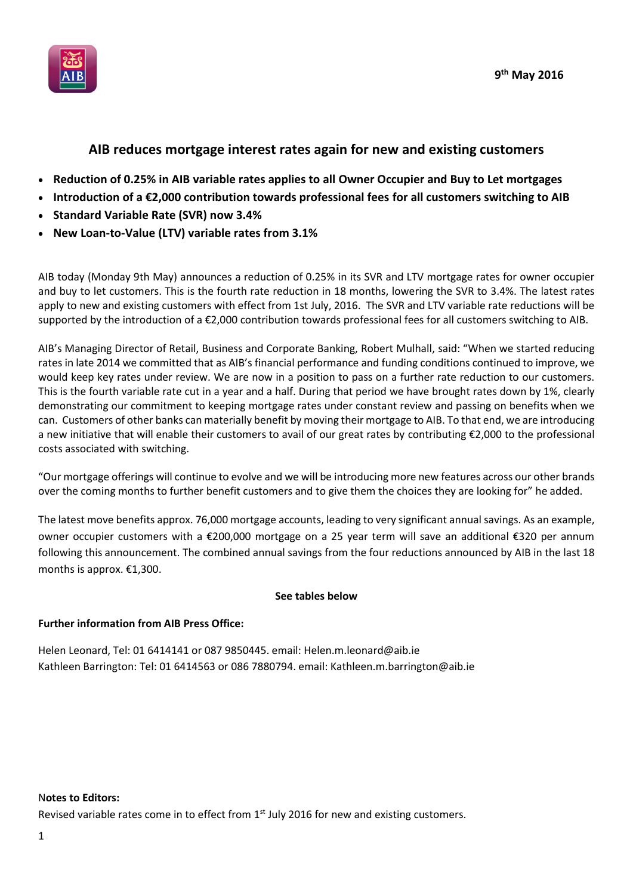



# **AIB reduces mortgage interest rates again for new and existing customers**

- **Reduction of 0.25% in AIB variable rates applies to all Owner Occupier and Buy to Let mortgages**
- **Introduction of a €2,000 contribution towards professional fees for all customers switching to AIB**
- **Standard Variable Rate (SVR) now 3.4%**
- **New Loan-to-Value (LTV) variable rates from 3.1%**

AIB today (Monday 9th May) announces a reduction of 0.25% in its SVR and LTV mortgage rates for owner occupier and buy to let customers. This is the fourth rate reduction in 18 months, lowering the SVR to 3.4%. The latest rates apply to new and existing customers with effect from 1st July, 2016. The SVR and LTV variable rate reductions will be supported by the introduction of a €2,000 contribution towards professional fees for all customers switching to AIB.

AIB's Managing Director of Retail, Business and Corporate Banking, Robert Mulhall, said: "When we started reducing rates in late 2014 we committed that as AIB's financial performance and funding conditions continued to improve, we would keep key rates under review. We are now in a position to pass on a further rate reduction to our customers. This is the fourth variable rate cut in a year and a half. During that period we have brought rates down by 1%, clearly demonstrating our commitment to keeping mortgage rates under constant review and passing on benefits when we can. Customers of other banks can materially benefit by moving their mortgage to AIB. To that end, we are introducing a new initiative that will enable their customers to avail of our great rates by contributing €2,000 to the professional costs associated with switching.

"Our mortgage offerings will continue to evolve and we will be introducing more new features across our other brands over the coming months to further benefit customers and to give them the choices they are looking for" he added.

The latest move benefits approx. 76,000 mortgage accounts, leading to very significant annual savings. As an example, owner occupier customers with a €200,000 mortgage on a 25 year term will save an additional €320 per annum following this announcement. The combined annual savings from the four reductions announced by AIB in the last 18 months is approx. €1,300.

## **See tables below**

## **Further information from AIB Press Office:**

Helen Leonard, Tel: 01 6414141 or 087 9850445. email: Helen.m.leonard@aib.ie Kathleen Barrington: Tel: 01 6414563 or 086 7880794. email: Kathleen.m.barrington@aib.ie

#### N**otes to Editors:**

Revised variable rates come in to effect from  $1<sup>st</sup>$  July 2016 for new and existing customers.